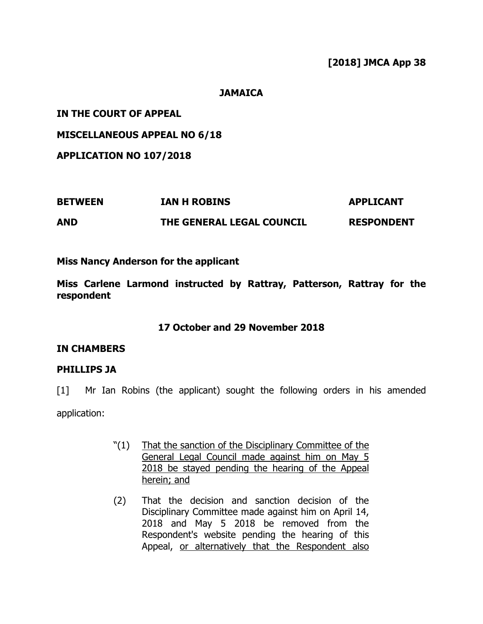# **[2018] JMCA App 38**

**JAMAICA**

**IN THE COURT OF APPEAL**

**MISCELLANEOUS APPEAL NO 6/18**

**APPLICATION NO 107/2018**

| <b>BETWEEN</b> | IAN H ROBINS              | <b>APPLICANT</b>  |
|----------------|---------------------------|-------------------|
| <b>AND</b>     | THE GENERAL LEGAL COUNCIL | <b>RESPONDENT</b> |

# **Miss Nancy Anderson for the applicant**

**Miss Carlene Larmond instructed by Rattray, Patterson, Rattray for the respondent**

# **17 October and 29 November 2018**

# **IN CHAMBERS**

# **PHILLIPS JA**

[1] Mr Ian Robins (the applicant) sought the following orders in his amended application:

- "(1) That the sanction of the Disciplinary Committee of the General Legal Council made against him on May 5 2018 be stayed pending the hearing of the Appeal herein; and
- (2) That the decision and sanction decision of the Disciplinary Committee made against him on April 14, 2018 and May 5 2018 be removed from the Respondent's website pending the hearing of this Appeal, or alternatively that the Respondent also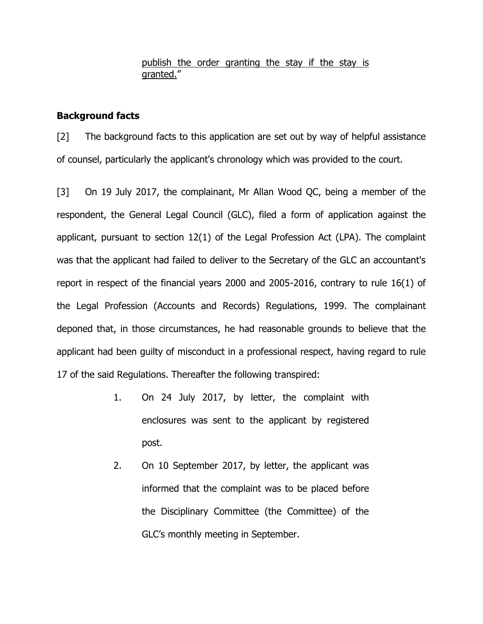### publish the order granting the stay if the stay is granted."

# **Background facts**

[2] The background facts to this application are set out by way of helpful assistance of counsel, particularly the applicant's chronology which was provided to the court.

[3] On 19 July 2017, the complainant, Mr Allan Wood QC, being a member of the respondent, the General Legal Council (GLC), filed a form of application against the applicant, pursuant to section 12(1) of the Legal Profession Act (LPA). The complaint was that the applicant had failed to deliver to the Secretary of the GLC an accountant's report in respect of the financial years 2000 and 2005-2016, contrary to rule 16(1) of the Legal Profession (Accounts and Records) Regulations, 1999. The complainant deponed that, in those circumstances, he had reasonable grounds to believe that the applicant had been guilty of misconduct in a professional respect, having regard to rule 17 of the said Regulations. Thereafter the following transpired:

- 1. On 24 July 2017, by letter, the complaint with enclosures was sent to the applicant by registered post.
- 2. On 10 September 2017, by letter, the applicant was informed that the complaint was to be placed before the Disciplinary Committee (the Committee) of the GLC's monthly meeting in September.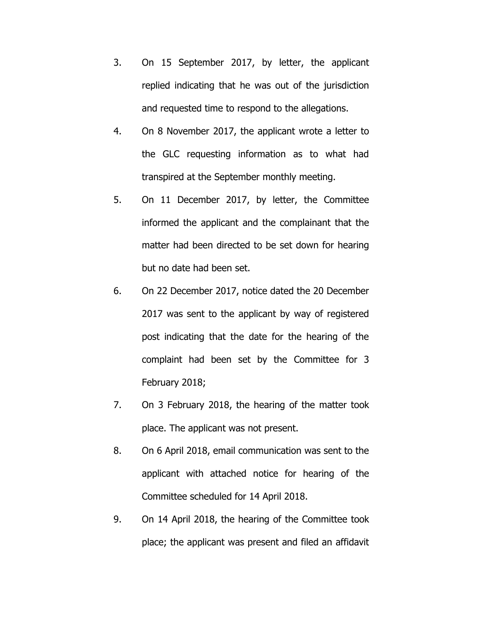- 3. On 15 September 2017, by letter, the applicant replied indicating that he was out of the jurisdiction and requested time to respond to the allegations.
- 4. On 8 November 2017, the applicant wrote a letter to the GLC requesting information as to what had transpired at the September monthly meeting.
- 5. On 11 December 2017, by letter, the Committee informed the applicant and the complainant that the matter had been directed to be set down for hearing but no date had been set.
- 6. On 22 December 2017, notice dated the 20 December 2017 was sent to the applicant by way of registered post indicating that the date for the hearing of the complaint had been set by the Committee for 3 February 2018;
- 7. On 3 February 2018, the hearing of the matter took place. The applicant was not present.
- 8. On 6 April 2018, email communication was sent to the applicant with attached notice for hearing of the Committee scheduled for 14 April 2018.
- 9. On 14 April 2018, the hearing of the Committee took place; the applicant was present and filed an affidavit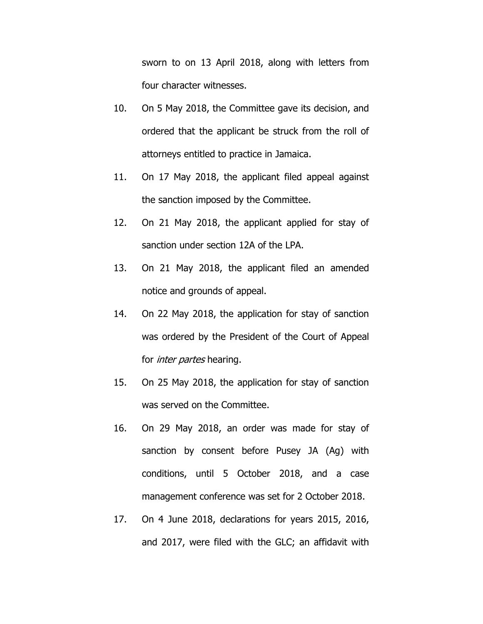sworn to on 13 April 2018, along with letters from four character witnesses.

- 10. On 5 May 2018, the Committee gave its decision, and ordered that the applicant be struck from the roll of attorneys entitled to practice in Jamaica.
- 11. On 17 May 2018, the applicant filed appeal against the sanction imposed by the Committee.
- 12. On 21 May 2018, the applicant applied for stay of sanction under section 12A of the LPA.
- 13. On 21 May 2018, the applicant filed an amended notice and grounds of appeal.
- 14. On 22 May 2018, the application for stay of sanction was ordered by the President of the Court of Appeal for *inter partes* hearing.
- 15. On 25 May 2018, the application for stay of sanction was served on the Committee.
- 16. On 29 May 2018, an order was made for stay of sanction by consent before Pusey JA (Ag) with conditions, until 5 October 2018, and a case management conference was set for 2 October 2018.
- 17. On 4 June 2018, declarations for years 2015, 2016, and 2017, were filed with the GLC; an affidavit with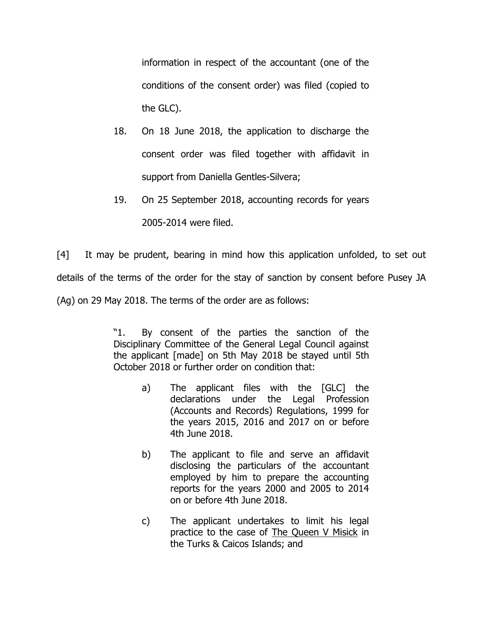information in respect of the accountant (one of the conditions of the consent order) was filed (copied to the GLC).

- 18. On 18 June 2018, the application to discharge the consent order was filed together with affidavit in support from Daniella Gentles-Silvera;
- 19. On 25 September 2018, accounting records for years

2005-2014 were filed.

[4] It may be prudent, bearing in mind how this application unfolded, to set out details of the terms of the order for the stay of sanction by consent before Pusey JA (Ag) on 29 May 2018. The terms of the order are as follows:

> "1. By consent of the parties the sanction of the Disciplinary Committee of the General Legal Council against the applicant [made] on 5th May 2018 be stayed until 5th October 2018 or further order on condition that:

- a) The applicant files with the [GLC] the declarations under the Legal Profession (Accounts and Records) Regulations, 1999 for the years 2015, 2016 and 2017 on or before 4th June 2018.
- b) The applicant to file and serve an affidavit disclosing the particulars of the accountant employed by him to prepare the accounting reports for the years 2000 and 2005 to 2014 on or before 4th June 2018.
- c) The applicant undertakes to limit his legal practice to the case of The Queen V Misick in the Turks & Caicos Islands; and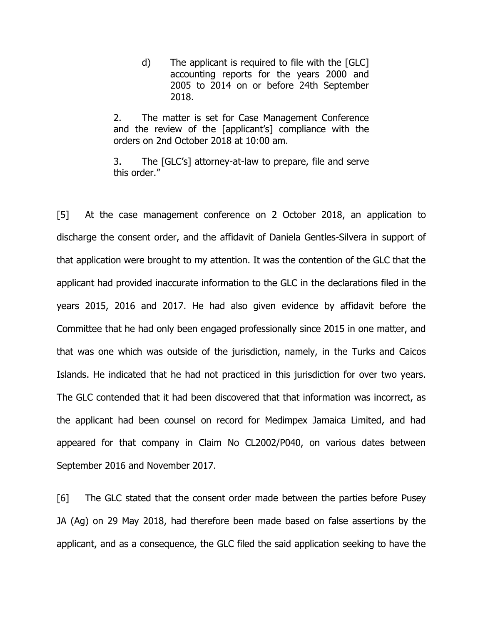d) The applicant is required to file with the [GLC] accounting reports for the years 2000 and 2005 to 2014 on or before 24th September 2018.

2. The matter is set for Case Management Conference and the review of the [applicant's] compliance with the orders on 2nd October 2018 at 10:00 am.

3. The [GLC's] attorney-at-law to prepare, file and serve this order."

[5] At the case management conference on 2 October 2018, an application to discharge the consent order, and the affidavit of Daniela Gentles-Silvera in support of that application were brought to my attention. It was the contention of the GLC that the applicant had provided inaccurate information to the GLC in the declarations filed in the years 2015, 2016 and 2017. He had also given evidence by affidavit before the Committee that he had only been engaged professionally since 2015 in one matter, and that was one which was outside of the jurisdiction, namely, in the Turks and Caicos Islands. He indicated that he had not practiced in this jurisdiction for over two years. The GLC contended that it had been discovered that that information was incorrect, as the applicant had been counsel on record for Medimpex Jamaica Limited, and had appeared for that company in Claim No CL2002/P040, on various dates between September 2016 and November 2017.

[6] The GLC stated that the consent order made between the parties before Pusey JA (Ag) on 29 May 2018, had therefore been made based on false assertions by the applicant, and as a consequence, the GLC filed the said application seeking to have the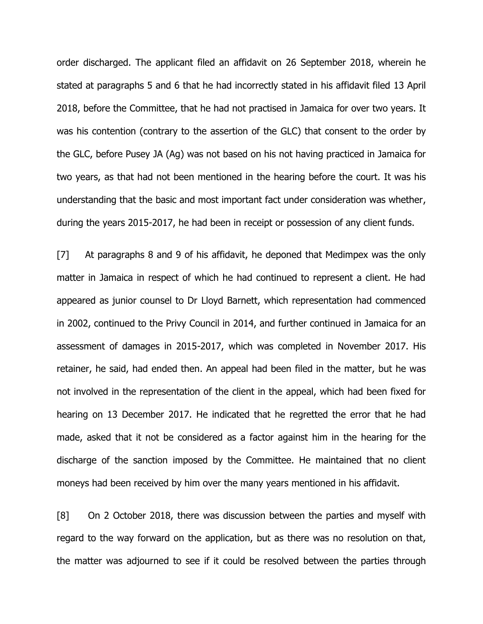order discharged. The applicant filed an affidavit on 26 September 2018, wherein he stated at paragraphs 5 and 6 that he had incorrectly stated in his affidavit filed 13 April 2018, before the Committee, that he had not practised in Jamaica for over two years. It was his contention (contrary to the assertion of the GLC) that consent to the order by the GLC, before Pusey JA (Ag) was not based on his not having practiced in Jamaica for two years, as that had not been mentioned in the hearing before the court. It was his understanding that the basic and most important fact under consideration was whether, during the years 2015-2017, he had been in receipt or possession of any client funds.

[7] At paragraphs 8 and 9 of his affidavit, he deponed that Medimpex was the only matter in Jamaica in respect of which he had continued to represent a client. He had appeared as junior counsel to Dr Lloyd Barnett, which representation had commenced in 2002, continued to the Privy Council in 2014, and further continued in Jamaica for an assessment of damages in 2015-2017, which was completed in November 2017. His retainer, he said, had ended then. An appeal had been filed in the matter, but he was not involved in the representation of the client in the appeal, which had been fixed for hearing on 13 December 2017. He indicated that he regretted the error that he had made, asked that it not be considered as a factor against him in the hearing for the discharge of the sanction imposed by the Committee. He maintained that no client moneys had been received by him over the many years mentioned in his affidavit.

[8] On 2 October 2018, there was discussion between the parties and myself with regard to the way forward on the application, but as there was no resolution on that, the matter was adjourned to see if it could be resolved between the parties through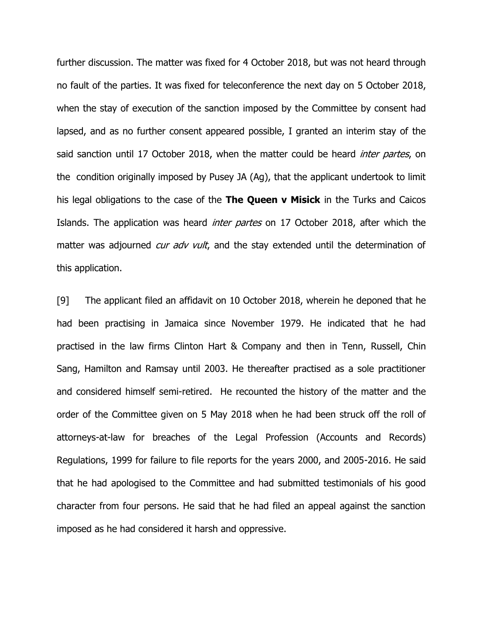further discussion. The matter was fixed for 4 October 2018, but was not heard through no fault of the parties. It was fixed for teleconference the next day on 5 October 2018, when the stay of execution of the sanction imposed by the Committee by consent had lapsed, and as no further consent appeared possible, I granted an interim stay of the said sanction until 17 October 2018, when the matter could be heard *inter partes*, on the condition originally imposed by Pusey JA (Ag), that the applicant undertook to limit his legal obligations to the case of the **The Queen v Misick** in the Turks and Caicos Islands. The application was heard *inter partes* on 17 October 2018, after which the matter was adjourned *cur adv vult*, and the stay extended until the determination of this application.

[9] The applicant filed an affidavit on 10 October 2018, wherein he deponed that he had been practising in Jamaica since November 1979. He indicated that he had practised in the law firms Clinton Hart & Company and then in Tenn, Russell, Chin Sang, Hamilton and Ramsay until 2003. He thereafter practised as a sole practitioner and considered himself semi-retired. He recounted the history of the matter and the order of the Committee given on 5 May 2018 when he had been struck off the roll of attorneys-at-law for breaches of the Legal Profession (Accounts and Records) Regulations, 1999 for failure to file reports for the years 2000, and 2005-2016. He said that he had apologised to the Committee and had submitted testimonials of his good character from four persons. He said that he had filed an appeal against the sanction imposed as he had considered it harsh and oppressive.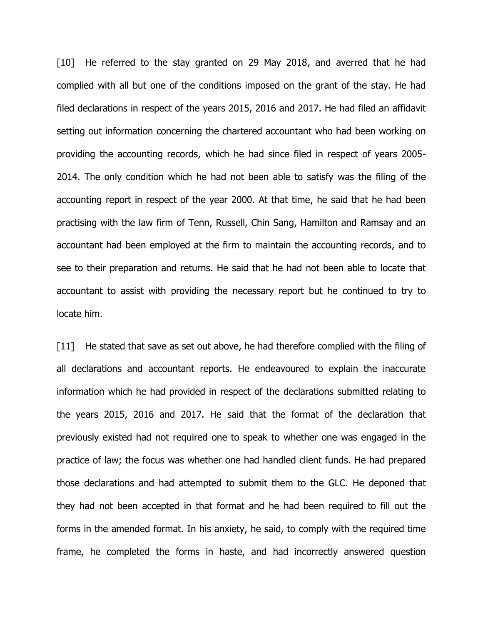[10] He referred to the stay granted on 29 May 2018, and averred that he had complied with all but one of the conditions imposed on the grant of the stay. He had filed declarations in respect of the years 2015, 2016 and 2017. He had filed an affidavit setting out information concerning the chartered accountant who had been working on providing the accounting records, which he had since filed in respect of years 2005- 2014. The only condition which he had not been able to satisfy was the filing of the accounting report in respect of the year 2000. At that time, he said that he had been practising with the law firm of Tenn, Russell, Chin Sang, Hamilton and Ramsay and an accountant had been employed at the firm to maintain the accounting records, and to see to their preparation and returns. He said that he had not been able to locate that accountant to assist with providing the necessary report but he continued to try to locate him.

[11] He stated that save as set out above, he had therefore complied with the filing of all declarations and accountant reports. He endeavoured to explain the inaccurate information which he had provided in respect of the declarations submitted relating to the years 2015, 2016 and 2017. He said that the format of the declaration that previously existed had not required one to speak to whether one was engaged in the practice of law; the focus was whether one had handled client funds. He had prepared those declarations and had attempted to submit them to the GLC. He deponed that they had not been accepted in that format and he had been required to fill out the forms in the amended format. In his anxiety, he said, to comply with the required time frame, he completed the forms in haste, and had incorrectly answered question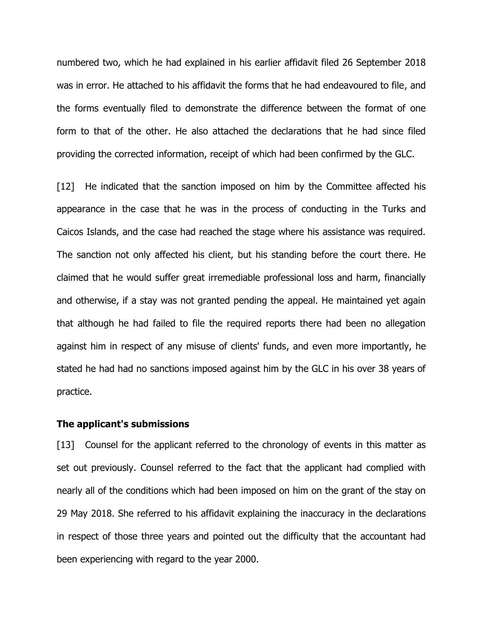numbered two, which he had explained in his earlier affidavit filed 26 September 2018 was in error. He attached to his affidavit the forms that he had endeavoured to file, and the forms eventually filed to demonstrate the difference between the format of one form to that of the other. He also attached the declarations that he had since filed providing the corrected information, receipt of which had been confirmed by the GLC.

[12] He indicated that the sanction imposed on him by the Committee affected his appearance in the case that he was in the process of conducting in the Turks and Caicos Islands, and the case had reached the stage where his assistance was required. The sanction not only affected his client, but his standing before the court there. He claimed that he would suffer great irremediable professional loss and harm, financially and otherwise, if a stay was not granted pending the appeal. He maintained yet again that although he had failed to file the required reports there had been no allegation against him in respect of any misuse of clients' funds, and even more importantly, he stated he had had no sanctions imposed against him by the GLC in his over 38 years of practice.

#### **The applicant's submissions**

[13] Counsel for the applicant referred to the chronology of events in this matter as set out previously. Counsel referred to the fact that the applicant had complied with nearly all of the conditions which had been imposed on him on the grant of the stay on 29 May 2018. She referred to his affidavit explaining the inaccuracy in the declarations in respect of those three years and pointed out the difficulty that the accountant had been experiencing with regard to the year 2000.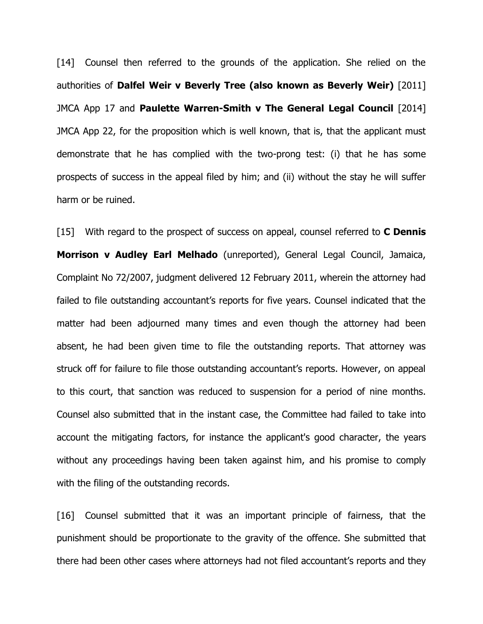[14] Counsel then referred to the grounds of the application. She relied on the authorities of **Dalfel Weir v Beverly Tree (also known as Beverly Weir)** [2011] JMCA App 17 and **Paulette Warren-Smith v The General Legal Council** [2014] JMCA App 22, for the proposition which is well known, that is, that the applicant must demonstrate that he has complied with the two-prong test: (i) that he has some prospects of success in the appeal filed by him; and (ii) without the stay he will suffer harm or be ruined.

[15] With regard to the prospect of success on appeal, counsel referred to **C Dennis Morrison v Audley Earl Melhado** (unreported), General Legal Council, Jamaica, Complaint No 72/2007, judgment delivered 12 February 2011, wherein the attorney had failed to file outstanding accountant's reports for five years. Counsel indicated that the matter had been adjourned many times and even though the attorney had been absent, he had been given time to file the outstanding reports. That attorney was struck off for failure to file those outstanding accountant's reports. However, on appeal to this court, that sanction was reduced to suspension for a period of nine months. Counsel also submitted that in the instant case, the Committee had failed to take into account the mitigating factors, for instance the applicant's good character, the years without any proceedings having been taken against him, and his promise to comply with the filing of the outstanding records.

[16] Counsel submitted that it was an important principle of fairness, that the punishment should be proportionate to the gravity of the offence. She submitted that there had been other cases where attorneys had not filed accountant's reports and they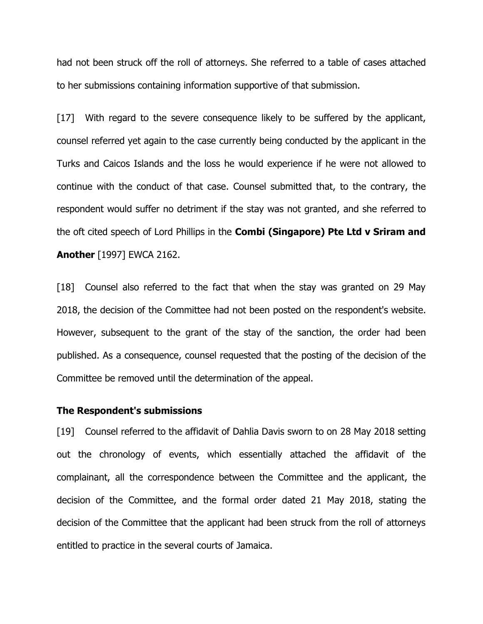had not been struck off the roll of attorneys. She referred to a table of cases attached to her submissions containing information supportive of that submission.

[17] With regard to the severe consequence likely to be suffered by the applicant, counsel referred yet again to the case currently being conducted by the applicant in the Turks and Caicos Islands and the loss he would experience if he were not allowed to continue with the conduct of that case. Counsel submitted that, to the contrary, the respondent would suffer no detriment if the stay was not granted, and she referred to the oft cited speech of Lord Phillips in the **Combi (Singapore) Pte Ltd v Sriram and Another** [1997] EWCA 2162.

[18] Counsel also referred to the fact that when the stay was granted on 29 May 2018, the decision of the Committee had not been posted on the respondent's website. However, subsequent to the grant of the stay of the sanction, the order had been published. As a consequence, counsel requested that the posting of the decision of the Committee be removed until the determination of the appeal.

#### **The Respondent's submissions**

[19] Counsel referred to the affidavit of Dahlia Davis sworn to on 28 May 2018 setting out the chronology of events, which essentially attached the affidavit of the complainant, all the correspondence between the Committee and the applicant, the decision of the Committee, and the formal order dated 21 May 2018, stating the decision of the Committee that the applicant had been struck from the roll of attorneys entitled to practice in the several courts of Jamaica.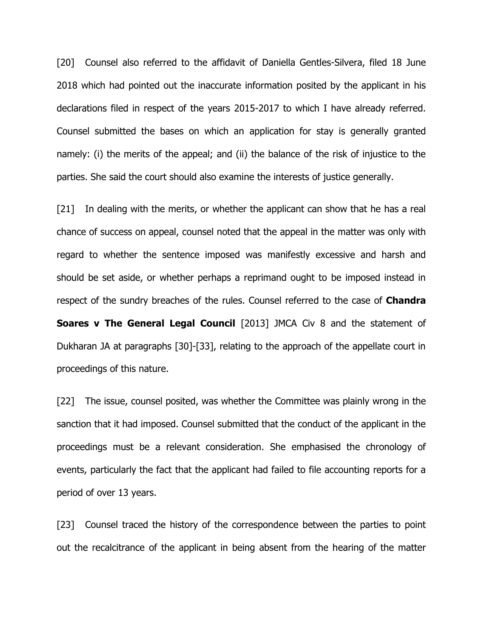[20] Counsel also referred to the affidavit of Daniella Gentles-Silvera, filed 18 June 2018 which had pointed out the inaccurate information posited by the applicant in his declarations filed in respect of the years 2015-2017 to which I have already referred. Counsel submitted the bases on which an application for stay is generally granted namely: (i) the merits of the appeal; and (ii) the balance of the risk of injustice to the parties. She said the court should also examine the interests of justice generally.

[21] In dealing with the merits, or whether the applicant can show that he has a real chance of success on appeal, counsel noted that the appeal in the matter was only with regard to whether the sentence imposed was manifestly excessive and harsh and should be set aside, or whether perhaps a reprimand ought to be imposed instead in respect of the sundry breaches of the rules. Counsel referred to the case of **Chandra Soares v The General Legal Council** [2013] JMCA Civ 8 and the statement of Dukharan JA at paragraphs [30]-[33], relating to the approach of the appellate court in proceedings of this nature.

[22] The issue, counsel posited, was whether the Committee was plainly wrong in the sanction that it had imposed. Counsel submitted that the conduct of the applicant in the proceedings must be a relevant consideration. She emphasised the chronology of events, particularly the fact that the applicant had failed to file accounting reports for a period of over 13 years.

[23] Counsel traced the history of the correspondence between the parties to point out the recalcitrance of the applicant in being absent from the hearing of the matter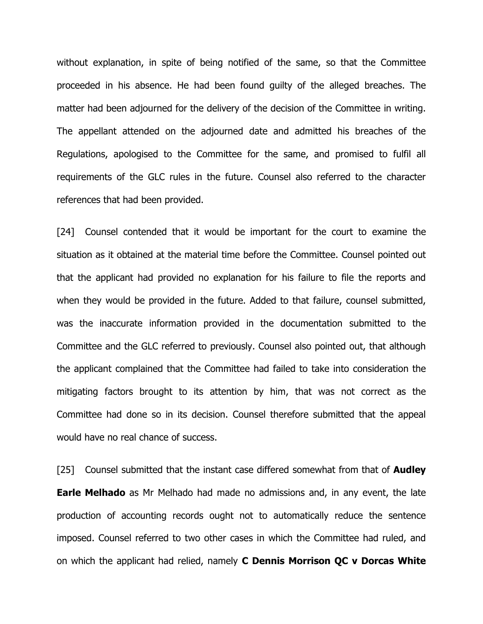without explanation, in spite of being notified of the same, so that the Committee proceeded in his absence. He had been found guilty of the alleged breaches. The matter had been adjourned for the delivery of the decision of the Committee in writing. The appellant attended on the adjourned date and admitted his breaches of the Regulations, apologised to the Committee for the same, and promised to fulfil all requirements of the GLC rules in the future. Counsel also referred to the character references that had been provided.

[24] Counsel contended that it would be important for the court to examine the situation as it obtained at the material time before the Committee. Counsel pointed out that the applicant had provided no explanation for his failure to file the reports and when they would be provided in the future. Added to that failure, counsel submitted, was the inaccurate information provided in the documentation submitted to the Committee and the GLC referred to previously. Counsel also pointed out, that although the applicant complained that the Committee had failed to take into consideration the mitigating factors brought to its attention by him, that was not correct as the Committee had done so in its decision. Counsel therefore submitted that the appeal would have no real chance of success.

[25] Counsel submitted that the instant case differed somewhat from that of **Audley Earle Melhado** as Mr Melhado had made no admissions and, in any event, the late production of accounting records ought not to automatically reduce the sentence imposed. Counsel referred to two other cases in which the Committee had ruled, and on which the applicant had relied, namely **C Dennis Morrison QC v Dorcas White**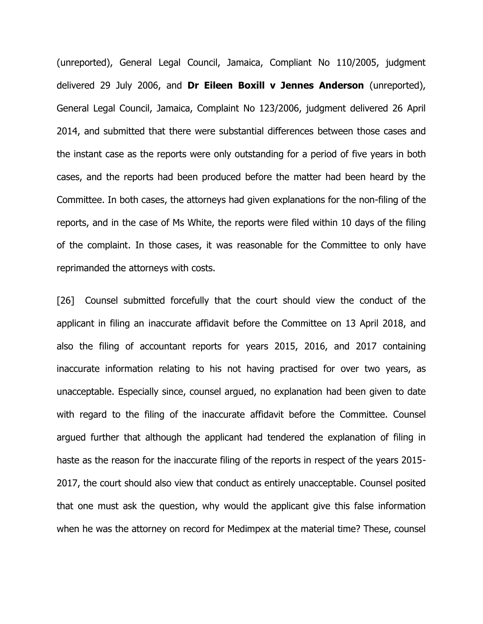(unreported), General Legal Council, Jamaica, Compliant No 110/2005, judgment delivered 29 July 2006, and **Dr Eileen Boxill v Jennes Anderson** (unreported), General Legal Council, Jamaica, Complaint No 123/2006, judgment delivered 26 April 2014, and submitted that there were substantial differences between those cases and the instant case as the reports were only outstanding for a period of five years in both cases, and the reports had been produced before the matter had been heard by the Committee. In both cases, the attorneys had given explanations for the non-filing of the reports, and in the case of Ms White, the reports were filed within 10 days of the filing of the complaint. In those cases, it was reasonable for the Committee to only have reprimanded the attorneys with costs.

[26] Counsel submitted forcefully that the court should view the conduct of the applicant in filing an inaccurate affidavit before the Committee on 13 April 2018, and also the filing of accountant reports for years 2015, 2016, and 2017 containing inaccurate information relating to his not having practised for over two years, as unacceptable. Especially since, counsel argued, no explanation had been given to date with regard to the filing of the inaccurate affidavit before the Committee. Counsel argued further that although the applicant had tendered the explanation of filing in haste as the reason for the inaccurate filing of the reports in respect of the years 2015- 2017, the court should also view that conduct as entirely unacceptable. Counsel posited that one must ask the question, why would the applicant give this false information when he was the attorney on record for Medimpex at the material time? These, counsel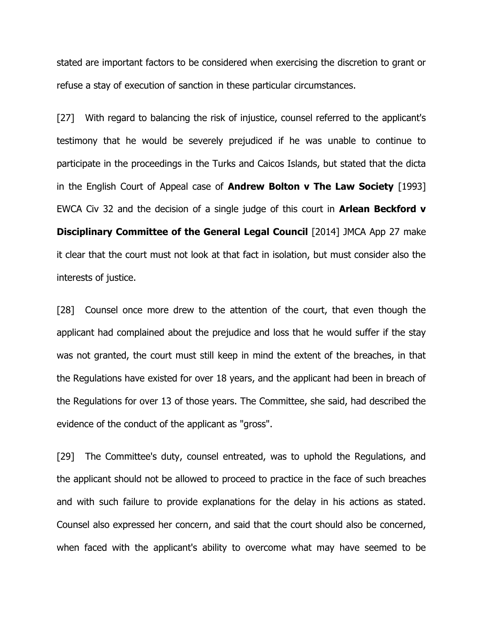stated are important factors to be considered when exercising the discretion to grant or refuse a stay of execution of sanction in these particular circumstances.

[27] With regard to balancing the risk of injustice, counsel referred to the applicant's testimony that he would be severely prejudiced if he was unable to continue to participate in the proceedings in the Turks and Caicos Islands, but stated that the dicta in the English Court of Appeal case of **Andrew Bolton v The Law Society** [1993] EWCA Civ 32 and the decision of a single judge of this court in **Arlean Beckford v Disciplinary Committee of the General Legal Council** [2014] JMCA App 27 make it clear that the court must not look at that fact in isolation, but must consider also the interests of justice.

[28] Counsel once more drew to the attention of the court, that even though the applicant had complained about the prejudice and loss that he would suffer if the stay was not granted, the court must still keep in mind the extent of the breaches, in that the Regulations have existed for over 18 years, and the applicant had been in breach of the Regulations for over 13 of those years. The Committee, she said, had described the evidence of the conduct of the applicant as "gross".

[29] The Committee's duty, counsel entreated, was to uphold the Regulations, and the applicant should not be allowed to proceed to practice in the face of such breaches and with such failure to provide explanations for the delay in his actions as stated. Counsel also expressed her concern, and said that the court should also be concerned, when faced with the applicant's ability to overcome what may have seemed to be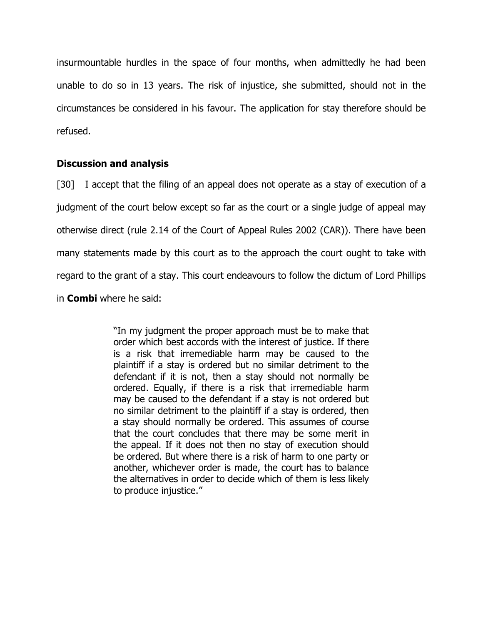insurmountable hurdles in the space of four months, when admittedly he had been unable to do so in 13 years. The risk of injustice, she submitted, should not in the circumstances be considered in his favour. The application for stay therefore should be refused.

# **Discussion and analysis**

[30] I accept that the filing of an appeal does not operate as a stay of execution of a judgment of the court below except so far as the court or a single judge of appeal may otherwise direct (rule 2.14 of the Court of Appeal Rules 2002 (CAR)). There have been many statements made by this court as to the approach the court ought to take with regard to the grant of a stay. This court endeavours to follow the dictum of Lord Phillips in **Combi** where he said:

> "In my judgment the proper approach must be to make that order which best accords with the interest of justice. If there is a risk that irremediable harm may be caused to the plaintiff if a stay is ordered but no similar detriment to the defendant if it is not, then a stay should not normally be ordered. Equally, if there is a risk that irremediable harm may be caused to the defendant if a stay is not ordered but no similar detriment to the plaintiff if a stay is ordered, then a stay should normally be ordered. This assumes of course that the court concludes that there may be some merit in the appeal. If it does not then no stay of execution should be ordered. But where there is a risk of harm to one party or another, whichever order is made, the court has to balance the alternatives in order to decide which of them is less likely to produce injustice."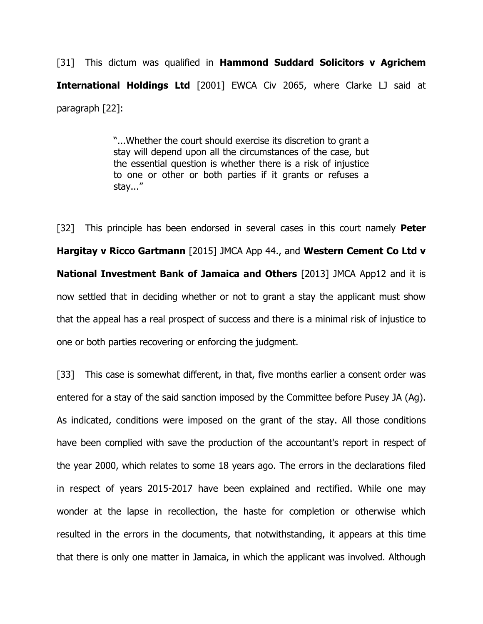[31] This dictum was qualified in **Hammond Suddard Solicitors v Agrichem International Holdings Ltd** [2001] EWCA Civ 2065, where Clarke LJ said at paragraph [22]:

> "...Whether the court should exercise its discretion to grant a stay will depend upon all the circumstances of the case, but the essential question is whether there is a risk of injustice to one or other or both parties if it grants or refuses a stay..."

[32] This principle has been endorsed in several cases in this court namely **Peter Hargitay v Ricco Gartmann** [2015] JMCA App 44., and **Western Cement Co Ltd v National Investment Bank of Jamaica and Others** [2013] JMCA App12 and it is now settled that in deciding whether or not to grant a stay the applicant must show that the appeal has a real prospect of success and there is a minimal risk of injustice to one or both parties recovering or enforcing the judgment.

[33] This case is somewhat different, in that, five months earlier a consent order was entered for a stay of the said sanction imposed by the Committee before Pusey JA (Ag). As indicated, conditions were imposed on the grant of the stay. All those conditions have been complied with save the production of the accountant's report in respect of the year 2000, which relates to some 18 years ago. The errors in the declarations filed in respect of years 2015-2017 have been explained and rectified. While one may wonder at the lapse in recollection, the haste for completion or otherwise which resulted in the errors in the documents, that notwithstanding, it appears at this time that there is only one matter in Jamaica, in which the applicant was involved. Although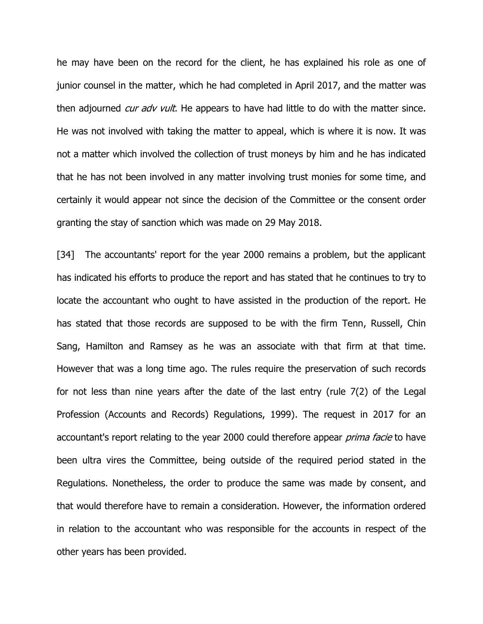he may have been on the record for the client, he has explained his role as one of junior counsel in the matter, which he had completed in April 2017, and the matter was then adjourned *cur adv vult*. He appears to have had little to do with the matter since. He was not involved with taking the matter to appeal, which is where it is now. It was not a matter which involved the collection of trust moneys by him and he has indicated that he has not been involved in any matter involving trust monies for some time, and certainly it would appear not since the decision of the Committee or the consent order granting the stay of sanction which was made on 29 May 2018.

[34] The accountants' report for the year 2000 remains a problem, but the applicant has indicated his efforts to produce the report and has stated that he continues to try to locate the accountant who ought to have assisted in the production of the report. He has stated that those records are supposed to be with the firm Tenn, Russell, Chin Sang, Hamilton and Ramsey as he was an associate with that firm at that time. However that was a long time ago. The rules require the preservation of such records for not less than nine years after the date of the last entry (rule 7(2) of the Legal Profession (Accounts and Records) Regulations, 1999). The request in 2017 for an accountant's report relating to the year 2000 could therefore appear *prima facie* to have been ultra vires the Committee, being outside of the required period stated in the Regulations. Nonetheless, the order to produce the same was made by consent, and that would therefore have to remain a consideration. However, the information ordered in relation to the accountant who was responsible for the accounts in respect of the other years has been provided.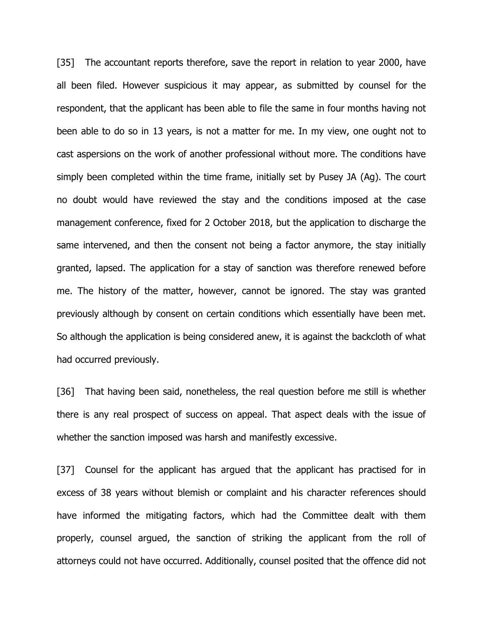[35] The accountant reports therefore, save the report in relation to year 2000, have all been filed. However suspicious it may appear, as submitted by counsel for the respondent, that the applicant has been able to file the same in four months having not been able to do so in 13 years, is not a matter for me. In my view, one ought not to cast aspersions on the work of another professional without more. The conditions have simply been completed within the time frame, initially set by Pusey JA (Ag). The court no doubt would have reviewed the stay and the conditions imposed at the case management conference, fixed for 2 October 2018, but the application to discharge the same intervened, and then the consent not being a factor anymore, the stay initially granted, lapsed. The application for a stay of sanction was therefore renewed before me. The history of the matter, however, cannot be ignored. The stay was granted previously although by consent on certain conditions which essentially have been met. So although the application is being considered anew, it is against the backcloth of what had occurred previously.

[36] That having been said, nonetheless, the real question before me still is whether there is any real prospect of success on appeal. That aspect deals with the issue of whether the sanction imposed was harsh and manifestly excessive.

[37] Counsel for the applicant has argued that the applicant has practised for in excess of 38 years without blemish or complaint and his character references should have informed the mitigating factors, which had the Committee dealt with them properly, counsel argued, the sanction of striking the applicant from the roll of attorneys could not have occurred. Additionally, counsel posited that the offence did not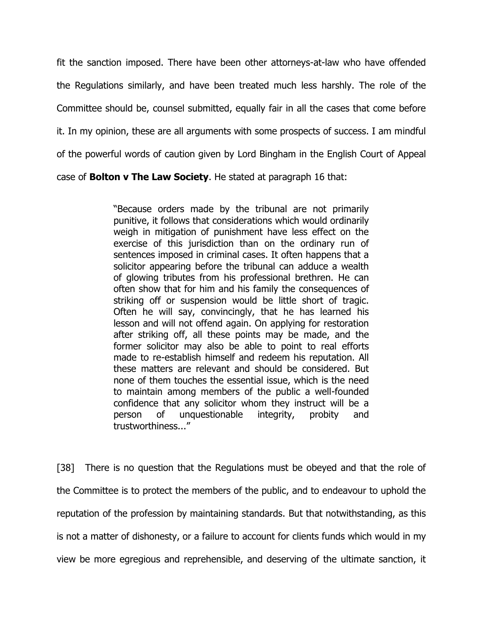fit the sanction imposed. There have been other attorneys-at-law who have offended the Regulations similarly, and have been treated much less harshly. The role of the Committee should be, counsel submitted, equally fair in all the cases that come before it. In my opinion, these are all arguments with some prospects of success. I am mindful of the powerful words of caution given by Lord Bingham in the English Court of Appeal

case of **Bolton v The Law Society**. He stated at paragraph 16 that:

"Because orders made by the tribunal are not primarily punitive, it follows that considerations which would ordinarily weigh in mitigation of punishment have less effect on the exercise of this jurisdiction than on the ordinary run of sentences imposed in criminal cases. It often happens that a solicitor appearing before the tribunal can adduce a wealth of glowing tributes from his professional brethren. He can often show that for him and his family the consequences of striking off or suspension would be little short of tragic. Often he will say, convincingly, that he has learned his lesson and will not offend again. On applying for restoration after striking off, all these points may be made, and the former solicitor may also be able to point to real efforts made to re-establish himself and redeem his reputation. All these matters are relevant and should be considered. But none of them touches the essential issue, which is the need to maintain among members of the public a well-founded confidence that any solicitor whom they instruct will be a person of unquestionable integrity, probity and trustworthiness..."

[38] There is no question that the Regulations must be obeyed and that the role of the Committee is to protect the members of the public, and to endeavour to uphold the reputation of the profession by maintaining standards. But that notwithstanding, as this is not a matter of dishonesty, or a failure to account for clients funds which would in my view be more egregious and reprehensible, and deserving of the ultimate sanction, it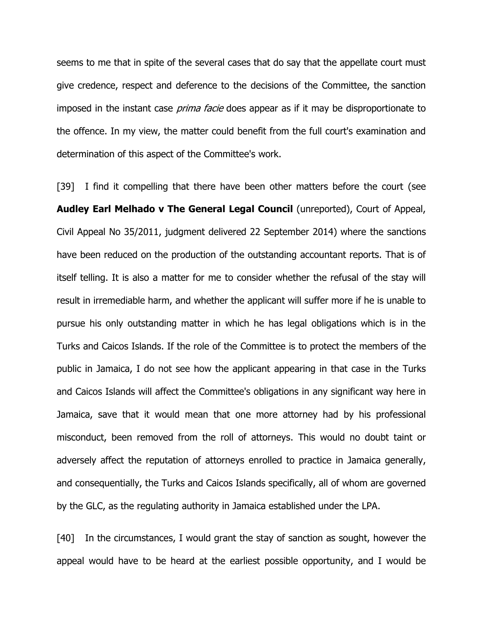seems to me that in spite of the several cases that do say that the appellate court must give credence, respect and deference to the decisions of the Committee, the sanction imposed in the instant case *prima facie* does appear as if it may be disproportionate to the offence. In my view, the matter could benefit from the full court's examination and determination of this aspect of the Committee's work.

[39] I find it compelling that there have been other matters before the court (see **Audley Earl Melhado v The General Legal Council** (unreported), Court of Appeal, Civil Appeal No 35/2011, judgment delivered 22 September 2014) where the sanctions have been reduced on the production of the outstanding accountant reports. That is of itself telling. It is also a matter for me to consider whether the refusal of the stay will result in irremediable harm, and whether the applicant will suffer more if he is unable to pursue his only outstanding matter in which he has legal obligations which is in the Turks and Caicos Islands. If the role of the Committee is to protect the members of the public in Jamaica, I do not see how the applicant appearing in that case in the Turks and Caicos Islands will affect the Committee's obligations in any significant way here in Jamaica, save that it would mean that one more attorney had by his professional misconduct, been removed from the roll of attorneys. This would no doubt taint or adversely affect the reputation of attorneys enrolled to practice in Jamaica generally, and consequentially, the Turks and Caicos Islands specifically, all of whom are governed by the GLC, as the regulating authority in Jamaica established under the LPA.

[40] In the circumstances, I would grant the stay of sanction as sought, however the appeal would have to be heard at the earliest possible opportunity, and I would be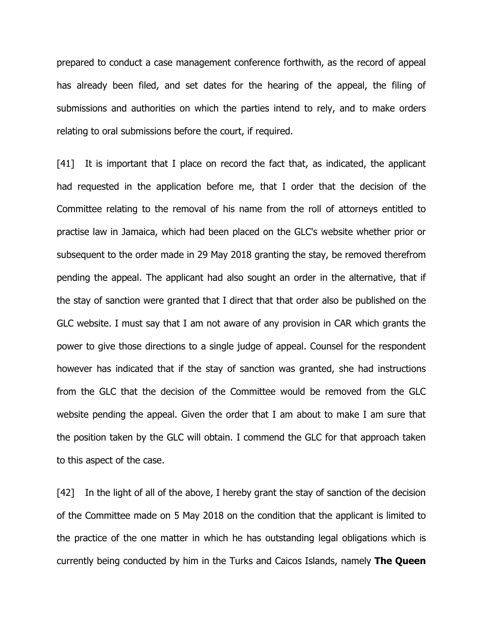prepared to conduct a case management conference forthwith, as the record of appeal has already been filed, and set dates for the hearing of the appeal, the filing of submissions and authorities on which the parties intend to rely, and to make orders relating to oral submissions before the court, if required.

[41] It is important that I place on record the fact that, as indicated, the applicant had requested in the application before me, that I order that the decision of the Committee relating to the removal of his name from the roll of attorneys entitled to practise law in Jamaica, which had been placed on the GLC's website whether prior or subsequent to the order made in 29 May 2018 granting the stay, be removed therefrom pending the appeal. The applicant had also sought an order in the alternative, that if the stay of sanction were granted that I direct that that order also be published on the GLC website. I must say that I am not aware of any provision in CAR which grants the power to give those directions to a single judge of appeal. Counsel for the respondent however has indicated that if the stay of sanction was granted, she had instructions from the GLC that the decision of the Committee would be removed from the GLC website pending the appeal. Given the order that I am about to make I am sure that the position taken by the GLC will obtain. I commend the GLC for that approach taken to this aspect of the case.

[42] In the light of all of the above, I hereby grant the stay of sanction of the decision of the Committee made on 5 May 2018 on the condition that the applicant is limited to the practice of the one matter in which he has outstanding legal obligations which is currently being conducted by him in the Turks and Caicos Islands, namely **The Queen**